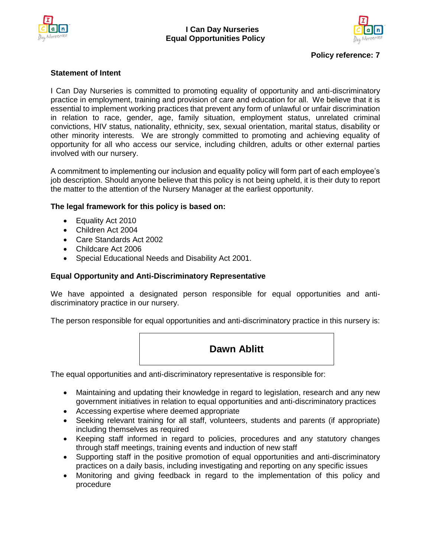



# **Policy reference: 7**

## **Statement of Intent**

I Can Day Nurseries is committed to promoting equality of opportunity and anti-discriminatory practice in employment, training and provision of care and education for all. We believe that it is essential to implement working practices that prevent any form of unlawful or unfair discrimination in relation to race, gender, age, family situation, employment status, unrelated criminal convictions, HIV status, nationality, ethnicity, sex, sexual orientation, marital status, disability or other minority interests. We are strongly committed to promoting and achieving equality of opportunity for all who access our service, including children, adults or other external parties involved with our nursery.

A commitment to implementing our inclusion and equality policy will form part of each employee's job description. Should anyone believe that this policy is not being upheld, it is their duty to report the matter to the attention of the Nursery Manager at the earliest opportunity.

## **The legal framework for this policy is based on:**

- Equality Act 2010
- Children Act 2004
- Care Standards Act 2002
- Childcare Act 2006
- Special Educational Needs and Disability Act 2001.

## **Equal Opportunity and Anti-Discriminatory Representative**

We have appointed a designated person responsible for equal opportunities and antidiscriminatory practice in our nursery.

The person responsible for equal opportunities and anti-discriminatory practice in this nursery is:



The equal opportunities and anti-discriminatory representative is responsible for:

- Maintaining and updating their knowledge in regard to legislation, research and any new government initiatives in relation to equal opportunities and anti-discriminatory practices
- Accessing expertise where deemed appropriate
- Seeking relevant training for all staff, volunteers, students and parents (if appropriate) including themselves as required
- Keeping staff informed in regard to policies, procedures and any statutory changes through staff meetings, training events and induction of new staff
- Supporting staff in the positive promotion of equal opportunities and anti-discriminatory practices on a daily basis, including investigating and reporting on any specific issues
- Monitoring and giving feedback in regard to the implementation of this policy and procedure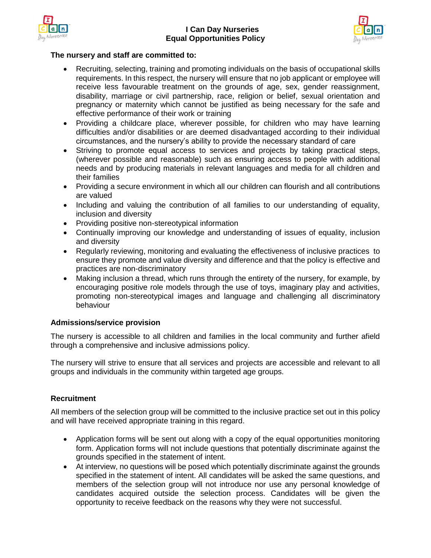



## **The nursery and staff are committed to:**

- Recruiting, selecting, training and promoting individuals on the basis of occupational skills requirements. In this respect, the nursery will ensure that no job applicant or employee will receive less favourable treatment on the grounds of age, sex, gender reassignment, disability, marriage or civil partnership, race, religion or belief, sexual orientation and pregnancy or maternity which cannot be justified as being necessary for the safe and effective performance of their work or training
- Providing a childcare place, wherever possible, for children who may have learning difficulties and/or disabilities or are deemed disadvantaged according to their individual circumstances, and the nursery's ability to provide the necessary standard of care
- Striving to promote equal access to services and projects by taking practical steps, (wherever possible and reasonable) such as ensuring access to people with additional needs and by producing materials in relevant languages and media for all children and their families
- Providing a secure environment in which all our children can flourish and all contributions are valued
- Including and valuing the contribution of all families to our understanding of equality, inclusion and diversity
- Providing positive non-stereotypical information
- Continually improving our knowledge and understanding of issues of equality, inclusion and diversity
- Regularly reviewing, monitoring and evaluating the effectiveness of inclusive practices to ensure they promote and value diversity and difference and that the policy is effective and practices are non-discriminatory
- Making inclusion a thread, which runs through the entirety of the nursery, for example, by encouraging positive role models through the use of toys, imaginary play and activities, promoting non-stereotypical images and language and challenging all discriminatory behaviour

# **Admissions/service provision**

The nursery is accessible to all children and families in the local community and further afield through a comprehensive and inclusive admissions policy.

The nursery will strive to ensure that all services and projects are accessible and relevant to all groups and individuals in the community within targeted age groups.

# **Recruitment**

All members of the selection group will be committed to the inclusive practice set out in this policy and will have received appropriate training in this regard.

- Application forms will be sent out along with a copy of the equal opportunities monitoring form. Application forms will not include questions that potentially discriminate against the grounds specified in the statement of intent.
- At interview, no questions will be posed which potentially discriminate against the grounds specified in the statement of intent. All candidates will be asked the same questions, and members of the selection group will not introduce nor use any personal knowledge of candidates acquired outside the selection process. Candidates will be given the opportunity to receive feedback on the reasons why they were not successful.